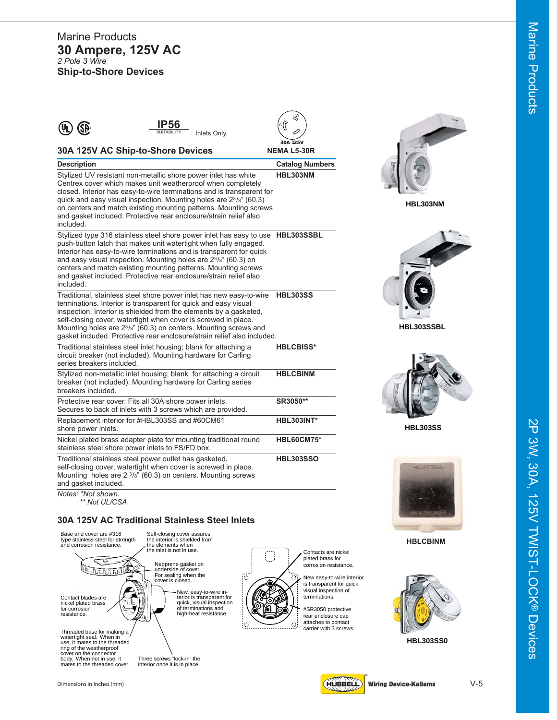#### Marine Products **30 Ampere, 125V AC** *2 Pole 3 Wire* **Ship-to-Shore Devices**

|                                                                                                                                                                                                                                                                                                                                                                                                                                                       | ళ                              |                 |
|-------------------------------------------------------------------------------------------------------------------------------------------------------------------------------------------------------------------------------------------------------------------------------------------------------------------------------------------------------------------------------------------------------------------------------------------------------|--------------------------------|-----------------|
| P56<br>SP<br>SUITABILITY<br>Inlets Only.                                                                                                                                                                                                                                                                                                                                                                                                              | ၂၁)                            |                 |
| 30A 125V AC Ship-to-Shore Devices                                                                                                                                                                                                                                                                                                                                                                                                                     | 30A 125V<br><b>NEMA L5-30R</b> |                 |
| <b>Description</b>                                                                                                                                                                                                                                                                                                                                                                                                                                    | <b>Catalog Numbers</b>         |                 |
| Stylized UV resistant non-metallic shore power inlet has white<br>Centrex cover which makes unit weatherproof when completely<br>closed. Interior has easy-to-wire terminations and is transparent for<br>quick and easy visual inspection. Mounting holes are $2^{3}/8$ " (60.3)<br>on centers and match existing mounting patterns. Mounting screws<br>and gasket included. Protective rear enclosure/strain relief also<br>included.               | HBL303NM                       | HBL303NM        |
| Stylized type 316 stainless steel shore power inlet has easy to use HBL303SSBL<br>push-button latch that makes unit watertight when fully engaged.<br>Interior has easy-to-wire terminations and is transparent for quick<br>and easy visual inspection. Mounting holes are 23/8" (60.3) on<br>centers and match existing mounting patterns. Mounting screws<br>and gasket included. Protective rear enclosure/strain relief also<br>included.        |                                |                 |
| Traditional, stainless steel shore power inlet has new easy-to-wire<br>terminations. Interior is transparent for quick and easy visual<br>inspection. Interior is shielded from the elements by a gasketed,<br>self-closing cover, watertight when cover is screwed in place.<br>Mounting holes are 2 <sup>3</sup> / <sub>8</sub> " (60.3) on centers. Mounting screws and<br>gasket included. Protective rear enclosure/strain relief also included. | <b>HBL303SS</b>                | HBL303SSBL      |
| Traditional stainless steel inlet housing; blank for attaching a<br>circuit breaker (not included). Mounting hardware for Carling<br>series breakers included.                                                                                                                                                                                                                                                                                        | <b>HBLCBISS*</b>               |                 |
| Stylized non-metallic inlet housing; blank for attaching a circuit<br>breaker (not included). Mounting hardware for Carling series<br>breakers included.                                                                                                                                                                                                                                                                                              | <b>HBLCBINM</b>                |                 |
| Protective rear cover. Fits all 30A shore power inlets.<br>Secures to back of inlets with 3 screws which are provided.                                                                                                                                                                                                                                                                                                                                | SR3050**                       |                 |
| Replacement interior for #HBL303SS and #60CM61<br>shore power inlets.                                                                                                                                                                                                                                                                                                                                                                                 | <b>HBL303INT*</b>              | <b>HBL303SS</b> |
| Nickel plated brass adapter plate for mounting traditional round<br>stainless steel shore power inlets to FS/FD box.                                                                                                                                                                                                                                                                                                                                  | <b>HBL60CM75*</b>              |                 |
| Traditional stainless steel power outlet has gasketed,<br>self-closing cover, watertight when cover is screwed in place.<br>Mounting holes are $2 \frac{3}{8}$ " (60.3) on centers. Mounting screws<br>and gasket included.                                                                                                                                                                                                                           | <b>HBL303SSO</b>               | HILLESSELL      |
| Notes: *Not shown.<br>** Not UL/CSA                                                                                                                                                                                                                                                                                                                                                                                                                   |                                |                 |

#### **30A 125V AC Traditional Stainless Steel Inlets**





2P 3W, 30A, 125V TWIST-LOCK®

2P 3W, 30A, 125V TWIST-LOCK® Devices

Devices



**HBLCBINM**









Dimensions in Inches (mm) **V-5**<br> **Dimensions in Inches (mm)** V-5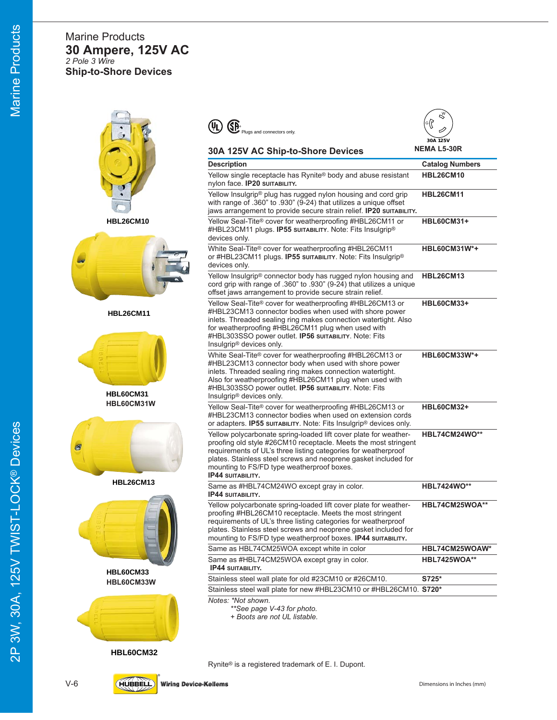## Marine Products **30 Ampere, 125V AC** *2 Pole 3 Wire* **Ship-to-Shore Devices**



**HBL26CM10**



**HBL26CM11**



**HBL60CM31 HBL60CM31W**



**HBL26CM13**



**HBL60CM33 HBL60CM33W**



**HBL60CM32**

| Rynite® is a registered trademark of E. I. Dupont. |  |  |  |
|----------------------------------------------------|--|--|--|



| 30A 125V AC Ship-to-Shore Devices                                                                                                                                                                                                                                                                                                                  | <b>NEMA L5-30R</b>     |
|----------------------------------------------------------------------------------------------------------------------------------------------------------------------------------------------------------------------------------------------------------------------------------------------------------------------------------------------------|------------------------|
| <b>Description</b>                                                                                                                                                                                                                                                                                                                                 | <b>Catalog Numbers</b> |
| Yellow single receptacle has Rynite <sup>®</sup> body and abuse resistant<br>nylon face. IP20 SUITABILITY.                                                                                                                                                                                                                                         | <b>HBL26CM10</b>       |
| Yellow Insulgrip® plug has rugged nylon housing and cord grip<br>with range of .360" to .930" (9-24) that utilizes a unique offset<br>jaws arrangement to provide secure strain relief. IP20 SUITABILITY.                                                                                                                                          | <b>HBL26CM11</b>       |
| Yellow Seal-Tite® cover for weatherproofing #HBL26CM11 or<br>#HBL23CM11 plugs. IP55 surrability. Note: Fits Insulgrip®<br>devices only.                                                                                                                                                                                                            | <b>HBL60CM31+</b>      |
| White Seal-Tite® cover for weatherproofing #HBL26CM11<br>or #HBL23CM11 plugs. <b>IP55 surrability.</b> Note: Fits Insulgrip <sup>®</sup><br>devices only.                                                                                                                                                                                          | <b>HBL60CM31W*+</b>    |
| Yellow Insulgrip® connector body has rugged nylon housing and<br>cord grip with range of .360" to .930" (9-24) that utilizes a unique<br>offset jaws arrangement to provide secure strain relief.                                                                                                                                                  | <b>HBL26CM13</b>       |
| Yellow Seal-Tite® cover for weatherproofing #HBL26CM13 or<br>#HBL23CM13 connector bodies when used with shore power<br>inlets. Threaded sealing ring makes connection watertight. Also<br>for weatherproofing #HBL26CM11 plug when used with<br>#HBL303SSO power outlet. IP56 surrability. Note: Fits<br>Insulgrip® devices only.                  | <b>HBL60CM33+</b>      |
| White Seal-Tite® cover for weatherproofing #HBL26CM13 or<br>#HBL23CM13 connector body when used with shore power<br>inlets. Threaded sealing ring makes connection watertight.<br>Also for weatherproofing #HBL26CM11 plug when used with<br>#HBL303SSO power outlet. IP56 SUITABILITY. Note: Fits<br>Insulgrip® devices only.                     | <b>HBL60CM33W*+</b>    |
| Yellow Seal-Tite® cover for weatherproofing #HBL26CM13 or<br>#HBL23CM13 connector bodies when used on extension cords<br>or adapters. <b>IP55 SUITABILITY.</b> Note: Fits Insulgrip <sup>®</sup> devices only.                                                                                                                                     | <b>HBL60CM32+</b>      |
| Yellow polycarbonate spring-loaded lift cover plate for weather-<br>proofing old style #26CM10 receptacle. Meets the most stringent<br>requirements of UL's three listing categories for weatherproof<br>plates. Stainless steel screws and neoprene gasket included for<br>mounting to FS/FD type weatherproof boxes.<br><b>IP44 SUITABILITY.</b> | HBL74CM24WO**          |
| Same as #HBL74CM24WO except gray in color.<br><b>IP44 SUITABILITY.</b>                                                                                                                                                                                                                                                                             | <b>HBL7424WO**</b>     |
| Yellow polycarbonate spring-loaded lift cover plate for weather-<br>proofing #HBL26CM10 receptacle. Meets the most stringent<br>requirements of UL's three listing categories for weatherproof<br>plates. Stainless steel screws and neoprene gasket included for<br>mounting to FS/FD type weatherproof boxes. IP44 surrability.                  | HBL74CM25WOA**         |
| Same as HBL74CM25WOA except white in color                                                                                                                                                                                                                                                                                                         | HBL74CM25WOAW*         |
| Same as #HBL74CM25WOA except gray in color.<br><b>IP44 SUITABILITY.</b>                                                                                                                                                                                                                                                                            | <b>HBL7425WOA**</b>    |
| Stainless steel wall plate for old #23CM10 or #26CM10.                                                                                                                                                                                                                                                                                             | S725*                  |
| Stainless steel wall plate for new #HBL23CM10 or #HBL26CM10. S720*                                                                                                                                                                                                                                                                                 |                        |

*Notes: \*Not shown.*

**P**<br>Plugs and connectors only.

*\*\*See page V-43 for photo.*

*+ Boots are not UL listable.*

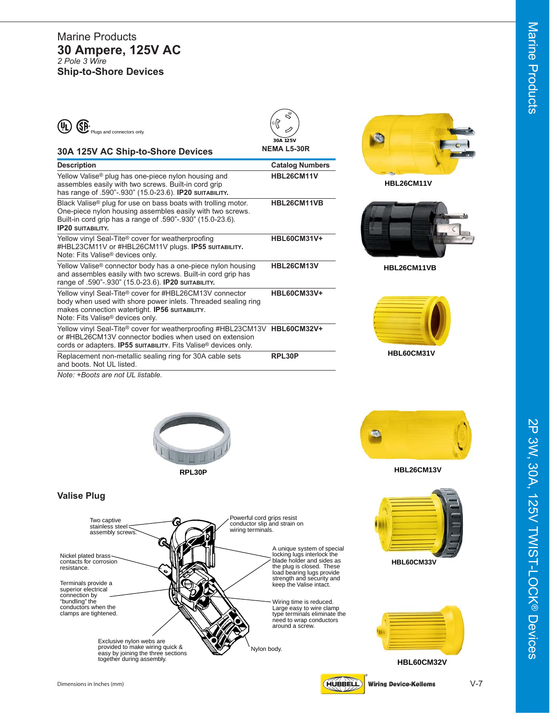| $(\mathsf{U}_\mathsf{L})$<br>Plugs and connectors only.                                                                                                                            | 30A 125V             |  |  |
|------------------------------------------------------------------------------------------------------------------------------------------------------------------------------------|----------------------|--|--|
| 30A 125V AC Ship-to-Shore Devices                                                                                                                                                  | <b>NEMA L5-30R</b>   |  |  |
| <b>Description</b>                                                                                                                                                                 | <b>Catalog Numbe</b> |  |  |
| Yellow Valise <sup>®</sup> plug has one-piece nylon housing and<br>assembles easily with two screws. Built-in cord grip<br>has range of .590"-.930" (15.0-23.6). IP20 SUITABILITY. | <b>HBL26CM11V</b>    |  |  |
| Black Valise <sup>®</sup> plug for use on bass boats with trolling motor.                                                                                                          | HBL26CM11VB          |  |  |

One-piece nylon housing assembles easily with two screws. Built-in cord grip has a range of .590"-.930" (15.0-23.6). **IP20 SUITABILITY.** Yellow vinyl Seal-Tite<sup>®</sup> cover for weatherproofing **HBL60CM31V+** #HBL23CM11V or #HBL26CM11V plugs. **IP55 SUITABILITY .** Note: Fits Valise ® devices only. Yellow Valise ® connector body has a one-piece nylon housing **HBL26CM13V** and assembles easily with two screws. Built-in cord grip has range of .590"-.930" (15.0-23.6). **IP20 SUITABILITY.** Yellow vinyl Seal-Tite ® cover for #HBL26CM13V connector **HBL60CM33V+** body when used with shore power inlets. Threaded sealing ring makes connection watertight. **IP56 SUITABILITY**. Note: Fits Valise ® devices only. Yellow vinyl Seal-Tite ® cover for weatherproofing #HBL23CM13V **HBL60CM32V+** or #HBL26CM13V connector bodies when used on extension cords or adapters. **IP55 SUITABILITY**. Fits Valise ® devices only. Replacement non-metallic sealing ring for 30A cable sets **RPL30P** and boots. Not UL listed.



**HBL26CM11V**

**Catalog Numbers** 



**HBL26CM11VB**



*Note: +Boots are not UL listable.*





**HBL26CM13V**



**HBL60CM32V**

2P 3W, 30A, 125V TWIST-LOCK®

2P 3W, 30A, 125V TWIST-LOCK® Devices

Devices



**Valise Plug**





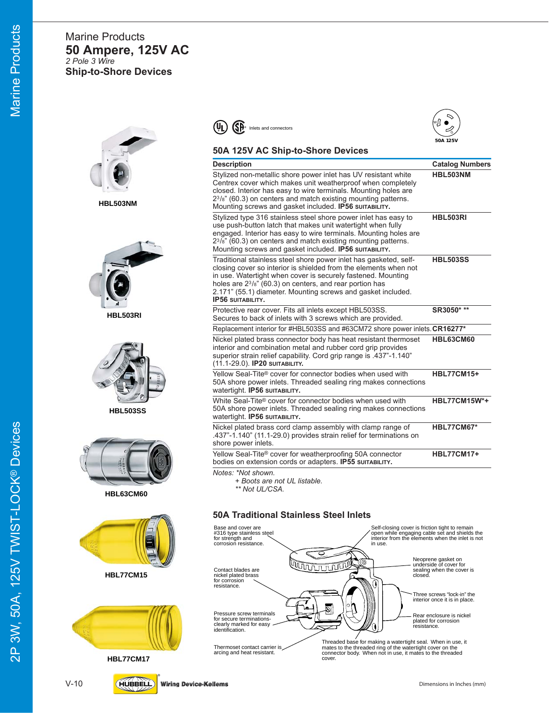# Marine Products **50 Ampere, 125V AC** *2 Pole 3 Wire* **Ship-to-Shore Devices**



**HBL503NM**



**HBL503RI**



**HBL503SS**



**HBL63CM60**





**HBL77CM17**



#### $\overline{\mathbb{SP}}$  Inlets and connectors  $(\mathsf{U}_\mathsf{L})$



#### **50A 125V AC Ship-to-Shore Devices**

| <b>Description</b>                                                                                                                                                                                                                                                                                                                                                 | <b>Catalog Numbers</b> |
|--------------------------------------------------------------------------------------------------------------------------------------------------------------------------------------------------------------------------------------------------------------------------------------------------------------------------------------------------------------------|------------------------|
| Stylized non-metallic shore power inlet has UV resistant white<br>Centrex cover which makes unit weatherproof when completely<br>closed. Interior has easy to wire terminals. Mounting holes are<br>$2^{3}/s$ " (60.3) on centers and match existing mounting patterns.<br>Mounting screws and gasket included. IP56 SUITABILITY.                                  | HBL503NM               |
| Stylized type 316 stainless steel shore power inlet has easy to<br>use push-button latch that makes unit watertight when fully<br>engaged. Interior has easy to wire terminals. Mounting holes are<br>$2^{3}/\bar{s}$ " (60.3) on centers and match existing mounting patterns.<br>Mounting screws and gasket included. IP56 sultability.                          | <b>HBL503RI</b>        |
| Traditional stainless steel shore power inlet has gasketed, self-<br>closing cover so interior is shielded from the elements when not<br>in use. Watertight when cover is securely fastened. Mounting<br>holes are $2^{3}/s$ " (60.3) on centers, and rear portion has<br>2.171" (55.1) diameter. Mounting screws and gasket included.<br><b>IP56 SUITABILITY.</b> | <b>HBL503SS</b>        |
| Protective rear cover. Fits all inlets except HBL503SS.<br>Secures to back of inlets with 3 screws which are provided.                                                                                                                                                                                                                                             | SR3050* **             |
| Replacement interior for #HBL503SS and #63CM72 shore power inlets. CR16277*                                                                                                                                                                                                                                                                                        |                        |
| Nickel plated brass connector body has heat resistant thermoset<br>interior and combination metal and rubber cord grip provides<br>superior strain relief capability. Cord grip range is .437"-1.140"<br>(11.1-29.0). IP20 SUITABILITY.                                                                                                                            | HBL63CM60              |
| Yellow Seal-Tite® cover for connector bodies when used with<br>50A shore power inlets. Threaded sealing ring makes connections<br>watertight. IP56 surrability.                                                                                                                                                                                                    | <b>HBL77CM15+</b>      |
| White Seal-Tite® cover for connector bodies when used with<br>50A shore power inlets. Threaded sealing ring makes connections<br>watertight. IP56 SUITABILITY.                                                                                                                                                                                                     | <b>HBL77CM15W*+</b>    |
| Nickel plated brass cord clamp assembly with clamp range of<br>.437"-1.140" (11.1-29.0) provides strain relief for terminations on<br>shore power inlets.                                                                                                                                                                                                          | <b>HBL77CM67*</b>      |
| Yellow Seal-Tite <sup>®</sup> cover for weatherproofing 50A connector<br>bodies on extension cords or adapters. IP55 surrability.                                                                                                                                                                                                                                  | <b>HBL77CM17+</b>      |
| Notes: *Not shown.<br>+ Boots are not UL listable.                                                                                                                                                                                                                                                                                                                 |                        |

*\*\* Not UL/CSA.*

#### **50A Traditional Stainless Steel Inlets**



2P 3W, 50A, 125V TWIST-LOCK 2P 3W, 50A, 125V TWIST-LOCK® Devices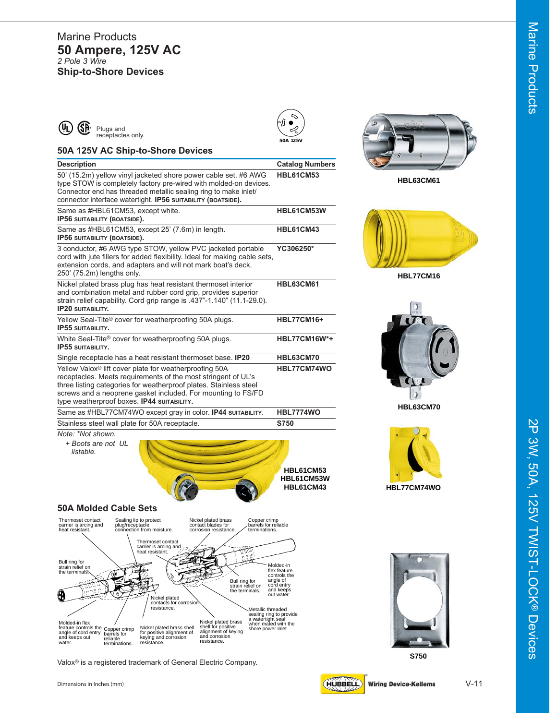#### Marine Products **50 Ampere, 125V AC** *2 Pole 3 Wire* **Ship-to-Shore Devices**







**HBL63CM61**





**HBL63CM70**











**S750**





| <b>IP56 SUITABILITY (BOATSIDE).</b>                                                                | Same as #HBL61CM53, except white.                                                                                                       |                                                                                                                                                                                                    | HBL61CM53W                                  |
|----------------------------------------------------------------------------------------------------|-----------------------------------------------------------------------------------------------------------------------------------------|----------------------------------------------------------------------------------------------------------------------------------------------------------------------------------------------------|---------------------------------------------|
| IP56 SUITABILITY (BOATSIDE).                                                                       | Same as #HBL61CM53, except 25' (7.6m) in length.                                                                                        |                                                                                                                                                                                                    | HBL61CM43                                   |
| 250' (75.2m) lengths only.                                                                         | extension cords, and adapters and will not mark boat's deck.                                                                            | 3 conductor, #6 AWG type STOW, yellow PVC jacketed portable<br>cord with jute fillers for added flexibility. Ideal for making cable sets,                                                          | YC306250*                                   |
| <b>IP20 SUITABILITY.</b>                                                                           | Nickel plated brass plug has heat resistant thermoset interior                                                                          | and combination metal and rubber cord grip, provides superior<br>strain relief capability. Cord grip range is .437"-1.140" (11.1-29.0).                                                            | <b>HBL63CM61</b>                            |
| <b>IP55 SUITABILITY.</b>                                                                           | Yellow Seal-Tite® cover for weatherproofing 50A plugs.                                                                                  |                                                                                                                                                                                                    | <b>HBL77CM16+</b>                           |
| <b>IP55 SUITABILITY.</b>                                                                           | White Seal-Tite® cover for weatherproofing 50A plugs.                                                                                   |                                                                                                                                                                                                    | <b>HBL77CM16W*+</b>                         |
|                                                                                                    | Single receptacle has a heat resistant thermoset base. <b>IP20</b>                                                                      |                                                                                                                                                                                                    | HBL63CM70                                   |
|                                                                                                    | Yellow Valox® lift cover plate for weatherproofing 50A<br>type weatherproof boxes. IP44 surrabiLITY.                                    | receptacles. Meets requirements of the most stringent of UL's<br>three listing categories for weatherproof plates. Stainless steel<br>screws and a neoprene gasket included. For mounting to FS/FD | HBL77CM74WO                                 |
|                                                                                                    |                                                                                                                                         | Same as #HBL77CM74WO except gray in color. IP44 SUITABILITY.                                                                                                                                       | <b>HBL7774WO</b>                            |
|                                                                                                    | Stainless steel wall plate for 50A receptacle.                                                                                          |                                                                                                                                                                                                    | S750                                        |
| Note: *Not shown.<br>+ Boots are not UL<br>listable                                                |                                                                                                                                         |                                                                                                                                                                                                    | <b>HBL61CM53</b><br>HBL61CM53W<br>HBL61CM43 |
| <b>50A Molded Cable Sets</b>                                                                       |                                                                                                                                         |                                                                                                                                                                                                    |                                             |
| Thermoset contact<br>carrier is arcing and<br>heat resistant.<br>Bull ring for<br>strain relief on | Sealing lip to protect<br>plug/receptacle<br>connection from moisture.<br>Thermoset contact<br>carrier is arcing and<br>heat resistant. | Nickel plated brass<br>Copper crimp<br>contact blades for<br>barrels for reliable<br>corrosion resistance.<br>terminations.<br>1300.<br>$\Omega_{\rm Bdd}^{\rm min}$                               | Molded-in                                   |

**Description Catalog Numbers** 50' (15.2m) yellow vinyl jacketed shore power cable set. #6 AWG **HBL61CM53**

type STOW is completely factory pre-wired with molded-on devices. Connector end has threaded metallic sealing ring to make inlet/ connector interface watertight. **IP56 SUITABILITY (BOATSIDE).**



Valox ® is a registered trademark of General Electric Company.

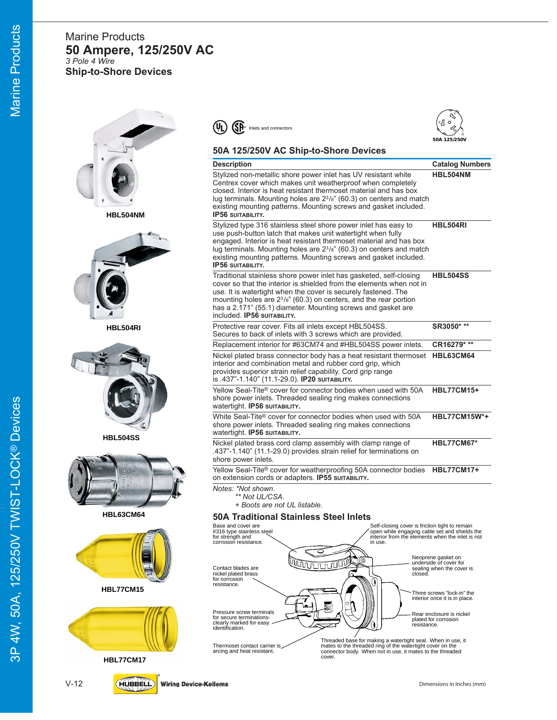#### Marine Products **50 Ampere, 125/250V AC** *3 Pole 4 Wire* **Ship-to-Shore Devices**











#### **50A 125/250V AC Ship-to-Shore Devices Description Catalog Numbers** Stylized non-metallic shore power inlet has UV resistant white **HBL504NM** Centrex cover which makes unit weatherproof when completely closed. Interior is heat resistant thermoset material and has box lug terminals. Mounting holes are 23/8" (60.3) on centers and match existing mounting patterns. Mounting screws and gasket included. **IP56 SUITABILITY.** Stylized type 316 stainless steel shore power inlet has easy to **HBL504RI** use push-button latch that makes unit watertight when fully engaged. Interior is heat resistant thermoset material and has box lug terminals. Mounting holes are 23/8" (60.3) on centers and match existing mounting patterns. Mounting screws and gasket included. **IP56 SUITABILITY.** Traditional stainless shore power inlet has gasketed, self-closing **HBL504SS** cover so that the interior is shielded from the elements when not in use. It is watertight when the cover is securely fastened. The mounting holes are 23/8" (60.3) on centers, and the rear portion has a 2.171" (55.1) diameter. Mounting screws and gasket are included. **IP56 SUITABILITY.** Protective rear cover. Fits all inlets except HBL504SS. **SR3050\* \*\*** Secures to back of inlets with 3 screws which are provided. Replacement interior for #63CM74 and #HBL504SS power inlets. **CR16279\* \*\*** Nickel plated brass connector body has a heat resistant thermoset **HBL63CM64** interior and combination metal and rubber cord grip, which provides superior strain relief capability. Cord grip range is .437"-1.140" (11.1-29.0). **IP20 SUITABILITY.** Yellow Seal-Tite® cover for connector bodies when used with 50A **HBL77CM15+** shore power inlets. Threaded sealing ring makes connections watertight. **IP56 SUITABILITY.** White Seal-Tite® cover for connector bodies when used with 50A **HBL77CM15W\*+** shore power inlets. Threaded sealing ring makes connections watertight. **IP56 SUITABILITY.** Nickel plated brass cord clamp assembly with clamp range of **HBL77CM67\*** .437"-1.140" (11.1-29.0) provides strain relief for terminations on shore power inlets. Yellow Seal-Tite® cover for weatherproofing 50A connector bodies **HBL77CM17+** on extension cords or adapters. **IP55 SUITABILITY.** *Notes: \*Not shown*. *\*\* Not UL/CSA*. *+ Boots are not UL listable.* Self-closing cover is friction tight to remain open while engaging cable set and shields the interior from the elements when the inlet is not in use. Neoprene gasket on underside of cover for sealing when the cover is closed. Three screws "lock-in" the interior once it is in place. Rear enclosure is nickel plated for corrosion resistance. Base and cover are #316 type stainless stee for strength and corrosion resistance. Pressure screw terminals for secure terminationsclearly marked for easy identification. Thermoset contact carrier is arcing and heat resistant. Contact blades are nickel plated brass for corrosion resistance. Threaded base for making a watertight seal. When in use, it mates to the threaded ring of the watertight cover on the connector body. When not in use, it mates to the threaded cover. **50A Traditional Stainless Steel Inlets**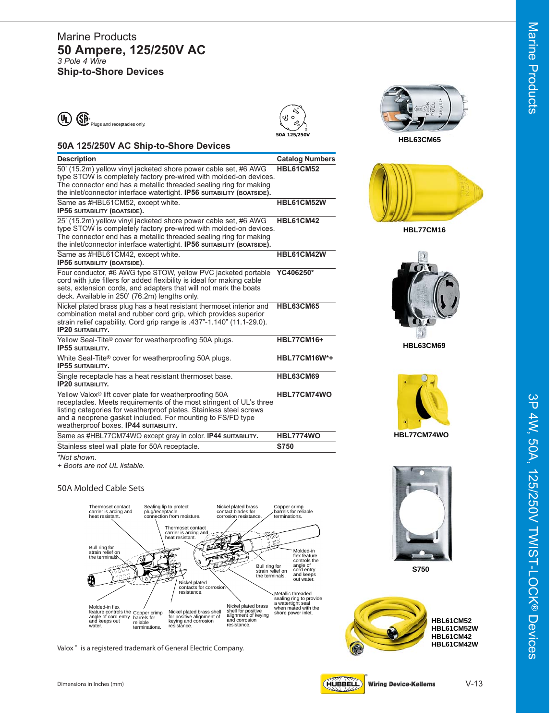#### Marine Products **50 Ampere, 125/250V AC** *3 Pole 4 Wire* **Ship-to-Shore Devices**







**HBL77CM16**



**HBL63CM69**





**S750**



**HBL61CM52 HBL61CM52W HBL61CM42 HBL61CM42W**

#### **50A 125/250V AC Ship-to-Shore Devices**

| <b>Catalog Numbers</b>                                                                |
|---------------------------------------------------------------------------------------|
| <b>HBL61CM52</b><br>type STOW is completely factory pre-wired with molded-on devices. |
| HBL61CM52W                                                                            |
| <b>HBL61CM42</b><br>type STOW is completely factory pre-wired with molded-on devices. |
| HBL61CM42W                                                                            |
| YC406250*                                                                             |
| <b>HBL63CM65</b>                                                                      |
| <b>HBL77CM16+</b>                                                                     |
| <b>HBL77CM16W*+</b>                                                                   |
| <b>HBL63CM69</b>                                                                      |
| HBL77CM74WO                                                                           |
| <b>HBL7774WO</b>                                                                      |
| S750                                                                                  |
| receptacles. Meets requirements of the most stringent of UL's three                   |

*\*Not shown.*

*+ Boots are not UL listable.*

#### **50A Molded Cable Sets**



Valox<sup>®</sup> is a registered trademark of General Electric Company.

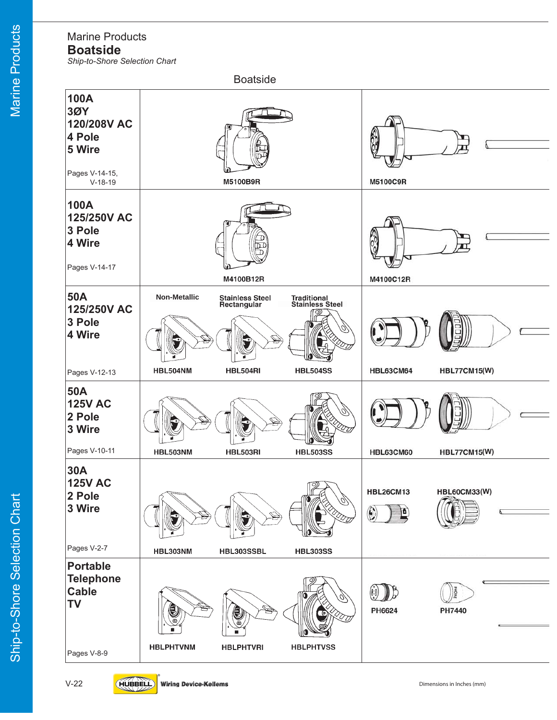# Marine Products

**Boatside**

*Ship-to-Shore Selection Chart*